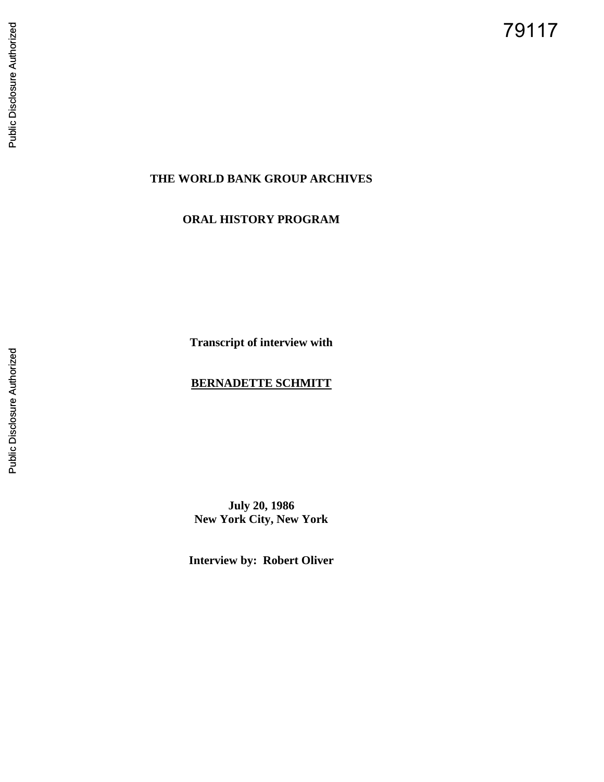79117

# **THE WORLD BANK GROUP ARCHIVES**

# **ORAL HISTORY PROGRAM**

**Transcript of interview with**

# **BERNADETTE SCHMITT**

**July 20, 1986 New York City, New York**

**Interview by: Robert Oliver**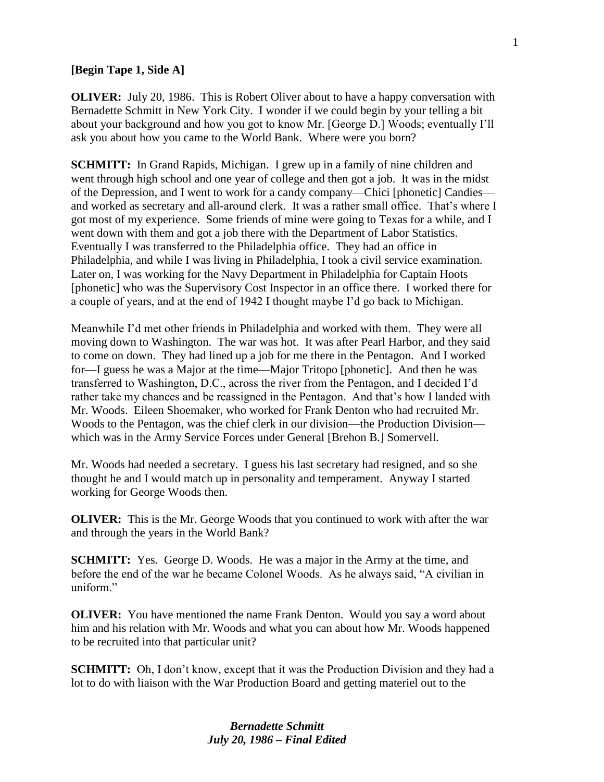#### **[Begin Tape 1, Side A]**

**OLIVER:** July 20, 1986. This is Robert Oliver about to have a happy conversation with Bernadette Schmitt in New York City. I wonder if we could begin by your telling a bit about your background and how you got to know Mr. [George D.] Woods; eventually I'll ask you about how you came to the World Bank. Where were you born?

**SCHMITT:** In Grand Rapids, Michigan. I grew up in a family of nine children and went through high school and one year of college and then got a job. It was in the midst of the Depression, and I went to work for a candy company—Chici [phonetic] Candies and worked as secretary and all-around clerk. It was a rather small office. That's where I got most of my experience. Some friends of mine were going to Texas for a while, and I went down with them and got a job there with the Department of Labor Statistics. Eventually I was transferred to the Philadelphia office. They had an office in Philadelphia, and while I was living in Philadelphia, I took a civil service examination. Later on, I was working for the Navy Department in Philadelphia for Captain Hoots [phonetic] who was the Supervisory Cost Inspector in an office there. I worked there for a couple of years, and at the end of 1942 I thought maybe I'd go back to Michigan.

Meanwhile I'd met other friends in Philadelphia and worked with them. They were all moving down to Washington. The war was hot. It was after Pearl Harbor, and they said to come on down. They had lined up a job for me there in the Pentagon. And I worked for—I guess he was a Major at the time—Major Tritopo [phonetic]. And then he was transferred to Washington, D.C., across the river from the Pentagon, and I decided I'd rather take my chances and be reassigned in the Pentagon. And that's how I landed with Mr. Woods. Eileen Shoemaker, who worked for Frank Denton who had recruited Mr. Woods to the Pentagon, was the chief clerk in our division—the Production Division which was in the Army Service Forces under General [Brehon B.] Somervell.

Mr. Woods had needed a secretary. I guess his last secretary had resigned, and so she thought he and I would match up in personality and temperament. Anyway I started working for George Woods then.

**OLIVER:** This is the Mr. George Woods that you continued to work with after the war and through the years in the World Bank?

**SCHMITT:** Yes. George D. Woods. He was a major in the Army at the time, and before the end of the war he became Colonel Woods. As he always said, "A civilian in uniform<sup>"</sup>

**OLIVER:** You have mentioned the name Frank Denton. Would you say a word about him and his relation with Mr. Woods and what you can about how Mr. Woods happened to be recruited into that particular unit?

**SCHMITT:** Oh, I don't know, except that it was the Production Division and they had a lot to do with liaison with the War Production Board and getting materiel out to the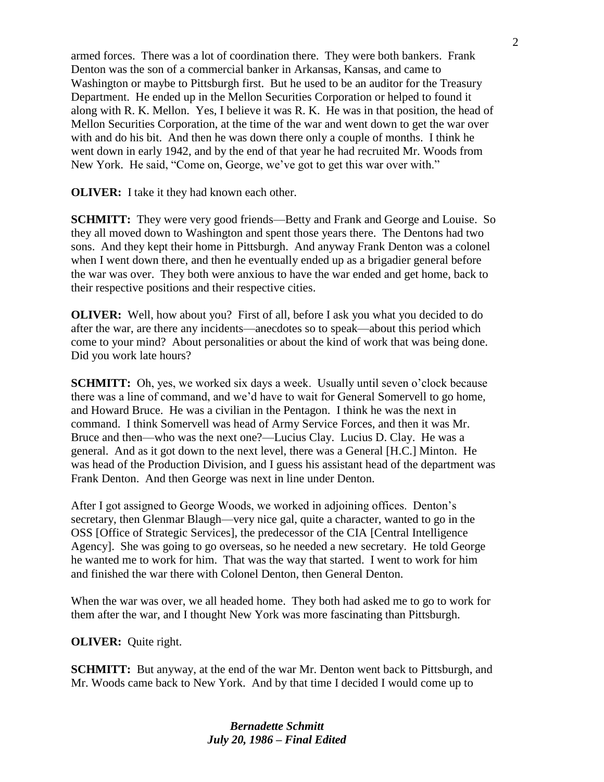armed forces. There was a lot of coordination there. They were both bankers. Frank Denton was the son of a commercial banker in Arkansas, Kansas, and came to Washington or maybe to Pittsburgh first. But he used to be an auditor for the Treasury Department. He ended up in the Mellon Securities Corporation or helped to found it along with R. K. Mellon. Yes, I believe it was R. K. He was in that position, the head of Mellon Securities Corporation, at the time of the war and went down to get the war over with and do his bit. And then he was down there only a couple of months. I think he went down in early 1942, and by the end of that year he had recruited Mr. Woods from New York. He said, "Come on, George, we've got to get this war over with."

**OLIVER:** I take it they had known each other.

**SCHMITT:** They were very good friends—Betty and Frank and George and Louise. So they all moved down to Washington and spent those years there. The Dentons had two sons. And they kept their home in Pittsburgh. And anyway Frank Denton was a colonel when I went down there, and then he eventually ended up as a brigadier general before the war was over. They both were anxious to have the war ended and get home, back to their respective positions and their respective cities.

**OLIVER:** Well, how about you? First of all, before I ask you what you decided to do after the war, are there any incidents—anecdotes so to speak—about this period which come to your mind? About personalities or about the kind of work that was being done. Did you work late hours?

**SCHMITT:** Oh, yes, we worked six days a week. Usually until seven o'clock because there was a line of command, and we'd have to wait for General Somervell to go home, and Howard Bruce. He was a civilian in the Pentagon. I think he was the next in command. I think Somervell was head of Army Service Forces, and then it was Mr. Bruce and then—who was the next one?—Lucius Clay. Lucius D. Clay. He was a general. And as it got down to the next level, there was a General [H.C.] Minton. He was head of the Production Division, and I guess his assistant head of the department was Frank Denton. And then George was next in line under Denton.

After I got assigned to George Woods, we worked in adjoining offices. Denton's secretary, then Glenmar Blaugh—very nice gal, quite a character, wanted to go in the OSS [Office of Strategic Services], the predecessor of the CIA [Central Intelligence Agency]. She was going to go overseas, so he needed a new secretary. He told George he wanted me to work for him. That was the way that started. I went to work for him and finished the war there with Colonel Denton, then General Denton.

When the war was over, we all headed home. They both had asked me to go to work for them after the war, and I thought New York was more fascinating than Pittsburgh.

#### **OLIVER:** Quite right.

**SCHMITT:** But anyway, at the end of the war Mr. Denton went back to Pittsburgh, and Mr. Woods came back to New York. And by that time I decided I would come up to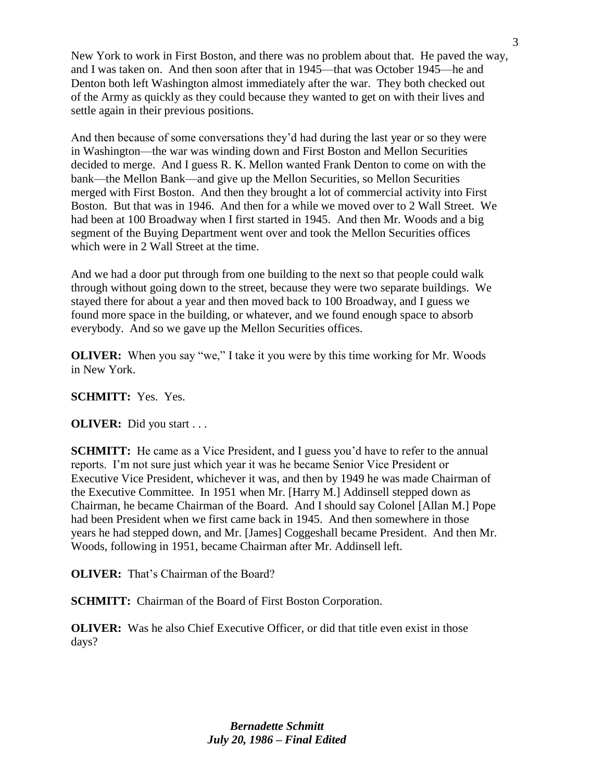New York to work in First Boston, and there was no problem about that. He paved the way, and I was taken on. And then soon after that in 1945—that was October 1945—he and Denton both left Washington almost immediately after the war. They both checked out of the Army as quickly as they could because they wanted to get on with their lives and settle again in their previous positions.

And then because of some conversations they'd had during the last year or so they were in Washington—the war was winding down and First Boston and Mellon Securities decided to merge. And I guess R. K. Mellon wanted Frank Denton to come on with the bank—the Mellon Bank—and give up the Mellon Securities, so Mellon Securities merged with First Boston. And then they brought a lot of commercial activity into First Boston. But that was in 1946. And then for a while we moved over to 2 Wall Street. We had been at 100 Broadway when I first started in 1945. And then Mr. Woods and a big segment of the Buying Department went over and took the Mellon Securities offices which were in 2 Wall Street at the time.

And we had a door put through from one building to the next so that people could walk through without going down to the street, because they were two separate buildings. We stayed there for about a year and then moved back to 100 Broadway, and I guess we found more space in the building, or whatever, and we found enough space to absorb everybody. And so we gave up the Mellon Securities offices.

**OLIVER:** When you say "we," I take it you were by this time working for Mr. Woods in New York.

#### **SCHMITT:** Yes. Yes.

#### **OLIVER:** Did you start . . .

**SCHMITT:** He came as a Vice President, and I guess you'd have to refer to the annual reports. I'm not sure just which year it was he became Senior Vice President or Executive Vice President, whichever it was, and then by 1949 he was made Chairman of the Executive Committee. In 1951 when Mr. [Harry M.] Addinsell stepped down as Chairman, he became Chairman of the Board. And I should say Colonel [Allan M.] Pope had been President when we first came back in 1945. And then somewhere in those years he had stepped down, and Mr. [James] Coggeshall became President. And then Mr. Woods, following in 1951, became Chairman after Mr. Addinsell left.

**OLIVER:** That's Chairman of the Board?

**SCHMITT:** Chairman of the Board of First Boston Corporation.

**OLIVER:** Was he also Chief Executive Officer, or did that title even exist in those days?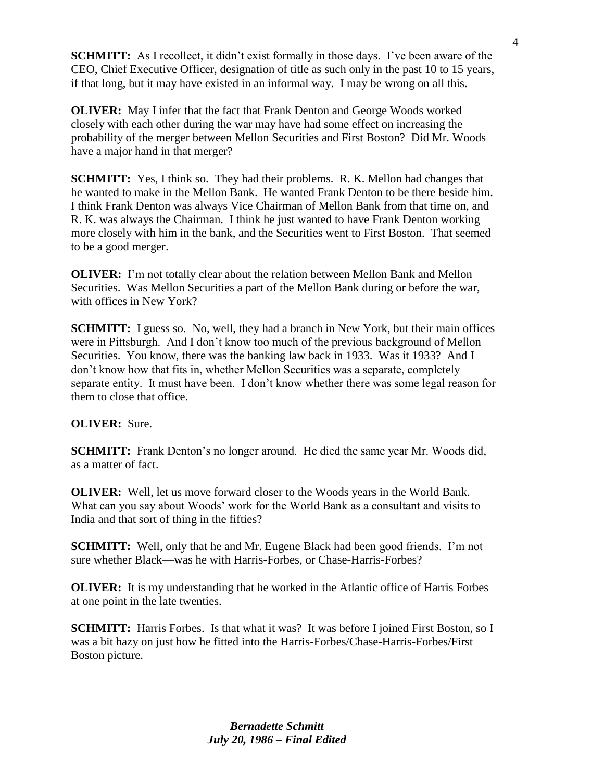**SCHMITT:** As I recollect, it didn't exist formally in those days. I've been aware of the CEO, Chief Executive Officer, designation of title as such only in the past 10 to 15 years, if that long, but it may have existed in an informal way. I may be wrong on all this.

**OLIVER:** May I infer that the fact that Frank Denton and George Woods worked closely with each other during the war may have had some effect on increasing the probability of the merger between Mellon Securities and First Boston? Did Mr. Woods have a major hand in that merger?

**SCHMITT:** Yes, I think so. They had their problems. R. K. Mellon had changes that he wanted to make in the Mellon Bank. He wanted Frank Denton to be there beside him. I think Frank Denton was always Vice Chairman of Mellon Bank from that time on, and R. K. was always the Chairman. I think he just wanted to have Frank Denton working more closely with him in the bank, and the Securities went to First Boston. That seemed to be a good merger.

**OLIVER:** I'm not totally clear about the relation between Mellon Bank and Mellon Securities. Was Mellon Securities a part of the Mellon Bank during or before the war, with offices in New York?

**SCHMITT:** I guess so. No, well, they had a branch in New York, but their main offices were in Pittsburgh. And I don't know too much of the previous background of Mellon Securities. You know, there was the banking law back in 1933. Was it 1933? And I don't know how that fits in, whether Mellon Securities was a separate, completely separate entity. It must have been. I don't know whether there was some legal reason for them to close that office.

## **OLIVER:** Sure.

**SCHMITT:** Frank Denton's no longer around. He died the same year Mr. Woods did, as a matter of fact.

**OLIVER:** Well, let us move forward closer to the Woods years in the World Bank. What can you say about Woods' work for the World Bank as a consultant and visits to India and that sort of thing in the fifties?

**SCHMITT:** Well, only that he and Mr. Eugene Black had been good friends. I'm not sure whether Black—was he with Harris-Forbes, or Chase-Harris-Forbes?

**OLIVER:** It is my understanding that he worked in the Atlantic office of Harris Forbes at one point in the late twenties.

**SCHMITT:** Harris Forbes. Is that what it was? It was before I joined First Boston, so I was a bit hazy on just how he fitted into the Harris-Forbes/Chase-Harris-Forbes/First Boston picture.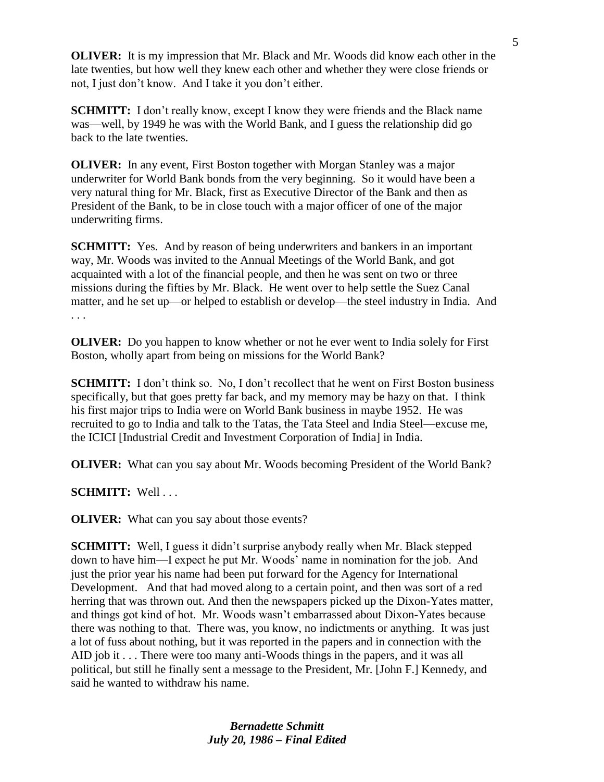**OLIVER:** It is my impression that Mr. Black and Mr. Woods did know each other in the late twenties, but how well they knew each other and whether they were close friends or not, I just don't know. And I take it you don't either.

**SCHMITT:** I don't really know, except I know they were friends and the Black name was—well, by 1949 he was with the World Bank, and I guess the relationship did go back to the late twenties.

**OLIVER:** In any event, First Boston together with Morgan Stanley was a major underwriter for World Bank bonds from the very beginning. So it would have been a very natural thing for Mr. Black, first as Executive Director of the Bank and then as President of the Bank, to be in close touch with a major officer of one of the major underwriting firms.

**SCHMITT:** Yes. And by reason of being underwriters and bankers in an important way, Mr. Woods was invited to the Annual Meetings of the World Bank, and got acquainted with a lot of the financial people, and then he was sent on two or three missions during the fifties by Mr. Black. He went over to help settle the Suez Canal matter, and he set up—or helped to establish or develop—the steel industry in India. And . . .

**OLIVER:** Do you happen to know whether or not he ever went to India solely for First Boston, wholly apart from being on missions for the World Bank?

**SCHMITT:** I don't think so. No, I don't recollect that he went on First Boston business specifically, but that goes pretty far back, and my memory may be hazy on that. I think his first major trips to India were on World Bank business in maybe 1952. He was recruited to go to India and talk to the Tatas, the Tata Steel and India Steel—excuse me, the ICICI [Industrial Credit and Investment Corporation of India] in India.

**OLIVER:** What can you say about Mr. Woods becoming President of the World Bank?

**SCHMITT:** Well . . .

**OLIVER:** What can you say about those events?

**SCHMITT:** Well, I guess it didn't surprise anybody really when Mr. Black stepped down to have him—I expect he put Mr. Woods' name in nomination for the job. And just the prior year his name had been put forward for the Agency for International Development. And that had moved along to a certain point, and then was sort of a red herring that was thrown out. And then the newspapers picked up the Dixon-Yates matter, and things got kind of hot. Mr. Woods wasn't embarrassed about Dixon-Yates because there was nothing to that. There was, you know, no indictments or anything. It was just a lot of fuss about nothing, but it was reported in the papers and in connection with the AID job it . . . There were too many anti-Woods things in the papers, and it was all political, but still he finally sent a message to the President, Mr. [John F.] Kennedy, and said he wanted to withdraw his name.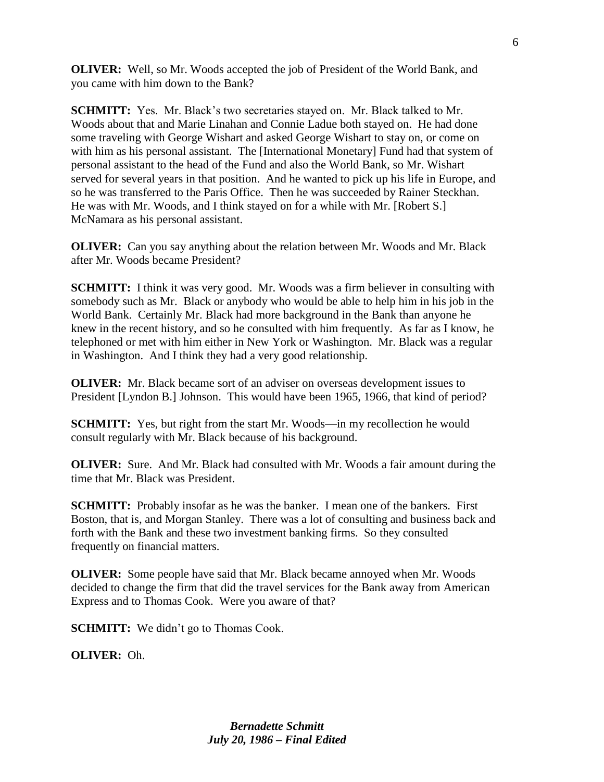**OLIVER:** Well, so Mr. Woods accepted the job of President of the World Bank, and you came with him down to the Bank?

**SCHMITT:** Yes. Mr. Black's two secretaries stayed on. Mr. Black talked to Mr. Woods about that and Marie Linahan and Connie Ladue both stayed on. He had done some traveling with George Wishart and asked George Wishart to stay on, or come on with him as his personal assistant. The [International Monetary] Fund had that system of personal assistant to the head of the Fund and also the World Bank, so Mr. Wishart served for several years in that position. And he wanted to pick up his life in Europe, and so he was transferred to the Paris Office. Then he was succeeded by Rainer Steckhan. He was with Mr. Woods, and I think stayed on for a while with Mr. [Robert S.] McNamara as his personal assistant.

**OLIVER:** Can you say anything about the relation between Mr. Woods and Mr. Black after Mr. Woods became President?

**SCHMITT:** I think it was very good. Mr. Woods was a firm believer in consulting with somebody such as Mr. Black or anybody who would be able to help him in his job in the World Bank. Certainly Mr. Black had more background in the Bank than anyone he knew in the recent history, and so he consulted with him frequently. As far as I know, he telephoned or met with him either in New York or Washington. Mr. Black was a regular in Washington. And I think they had a very good relationship.

**OLIVER:** Mr. Black became sort of an adviser on overseas development issues to President [Lyndon B.] Johnson. This would have been 1965, 1966, that kind of period?

**SCHMITT:** Yes, but right from the start Mr. Woods—in my recollection he would consult regularly with Mr. Black because of his background.

**OLIVER:** Sure. And Mr. Black had consulted with Mr. Woods a fair amount during the time that Mr. Black was President.

**SCHMITT:** Probably insofar as he was the banker. I mean one of the bankers. First Boston, that is, and Morgan Stanley. There was a lot of consulting and business back and forth with the Bank and these two investment banking firms. So they consulted frequently on financial matters.

**OLIVER:** Some people have said that Mr. Black became annoyed when Mr. Woods decided to change the firm that did the travel services for the Bank away from American Express and to Thomas Cook. Were you aware of that?

**SCHMITT:** We didn't go to Thomas Cook.

**OLIVER:** Oh.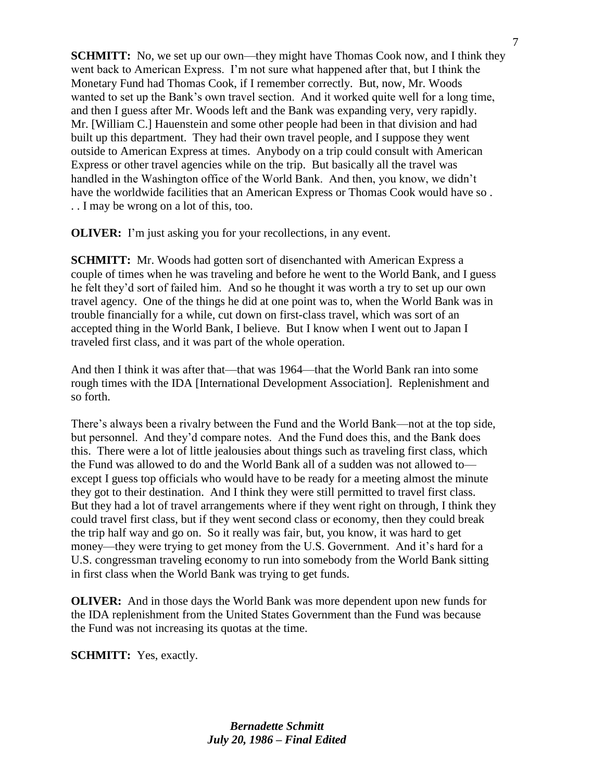**SCHMITT:** No, we set up our own—they might have Thomas Cook now, and I think they went back to American Express. I'm not sure what happened after that, but I think the Monetary Fund had Thomas Cook, if I remember correctly. But, now, Mr. Woods wanted to set up the Bank's own travel section. And it worked quite well for a long time, and then I guess after Mr. Woods left and the Bank was expanding very, very rapidly. Mr. [William C.] Hauenstein and some other people had been in that division and had built up this department. They had their own travel people, and I suppose they went outside to American Express at times. Anybody on a trip could consult with American Express or other travel agencies while on the trip. But basically all the travel was handled in the Washington office of the World Bank. And then, you know, we didn't have the worldwide facilities that an American Express or Thomas Cook would have so . . . I may be wrong on a lot of this, too.

**OLIVER:** I'm just asking you for your recollections, in any event.

**SCHMITT:** Mr. Woods had gotten sort of disenchanted with American Express a couple of times when he was traveling and before he went to the World Bank, and I guess he felt they'd sort of failed him. And so he thought it was worth a try to set up our own travel agency. One of the things he did at one point was to, when the World Bank was in trouble financially for a while, cut down on first-class travel, which was sort of an accepted thing in the World Bank, I believe. But I know when I went out to Japan I traveled first class, and it was part of the whole operation.

And then I think it was after that—that was 1964—that the World Bank ran into some rough times with the IDA [International Development Association]. Replenishment and so forth.

There's always been a rivalry between the Fund and the World Bank—not at the top side, but personnel. And they'd compare notes. And the Fund does this, and the Bank does this. There were a lot of little jealousies about things such as traveling first class, which the Fund was allowed to do and the World Bank all of a sudden was not allowed to except I guess top officials who would have to be ready for a meeting almost the minute they got to their destination. And I think they were still permitted to travel first class. But they had a lot of travel arrangements where if they went right on through, I think they could travel first class, but if they went second class or economy, then they could break the trip half way and go on. So it really was fair, but, you know, it was hard to get money—they were trying to get money from the U.S. Government. And it's hard for a U.S. congressman traveling economy to run into somebody from the World Bank sitting in first class when the World Bank was trying to get funds.

**OLIVER:** And in those days the World Bank was more dependent upon new funds for the IDA replenishment from the United States Government than the Fund was because the Fund was not increasing its quotas at the time.

**SCHMITT:** Yes, exactly.

7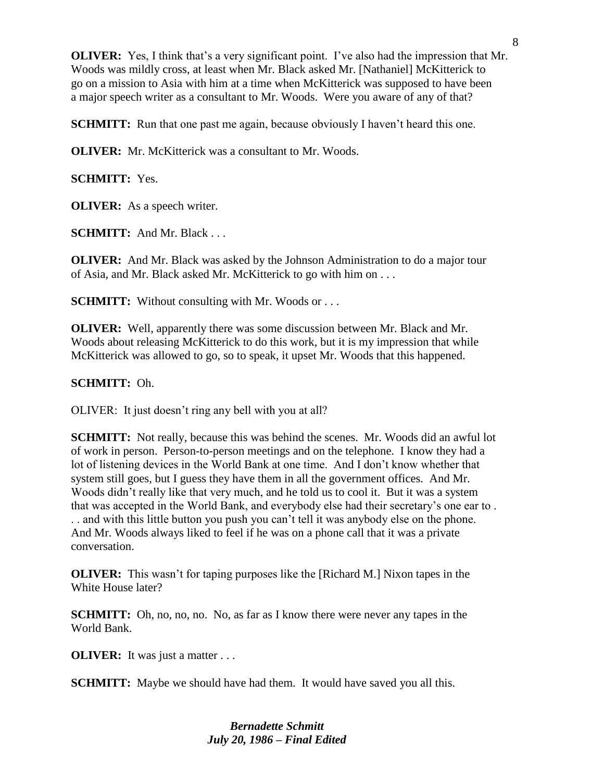**OLIVER:** Yes, I think that's a very significant point. I've also had the impression that Mr. Woods was mildly cross, at least when Mr. Black asked Mr. [Nathaniel] McKitterick to go on a mission to Asia with him at a time when McKitterick was supposed to have been a major speech writer as a consultant to Mr. Woods. Were you aware of any of that?

**SCHMITT:** Run that one past me again, because obviously I haven't heard this one.

**OLIVER:** Mr. McKitterick was a consultant to Mr. Woods.

**SCHMITT:** Yes.

**OLIVER:** As a speech writer.

**SCHMITT:** And Mr. Black . . .

**OLIVER:** And Mr. Black was asked by the Johnson Administration to do a major tour of Asia, and Mr. Black asked Mr. McKitterick to go with him on . . .

**SCHMITT:** Without consulting with Mr. Woods or ...

**OLIVER:** Well, apparently there was some discussion between Mr. Black and Mr. Woods about releasing McKitterick to do this work, but it is my impression that while McKitterick was allowed to go, so to speak, it upset Mr. Woods that this happened.

### **SCHMITT:** Oh.

OLIVER: It just doesn't ring any bell with you at all?

**SCHMITT:** Not really, because this was behind the scenes. Mr. Woods did an awful lot of work in person. Person-to-person meetings and on the telephone. I know they had a lot of listening devices in the World Bank at one time. And I don't know whether that system still goes, but I guess they have them in all the government offices. And Mr. Woods didn't really like that very much, and he told us to cool it. But it was a system that was accepted in the World Bank, and everybody else had their secretary's one ear to . . . and with this little button you push you can't tell it was anybody else on the phone. And Mr. Woods always liked to feel if he was on a phone call that it was a private conversation.

**OLIVER:** This wasn't for taping purposes like the [Richard M.] Nixon tapes in the White House later?

**SCHMITT:** Oh, no, no, no. No, as far as I know there were never any tapes in the World Bank.

**OLIVER:** It was just a matter . . .

**SCHMITT:** Maybe we should have had them. It would have saved you all this.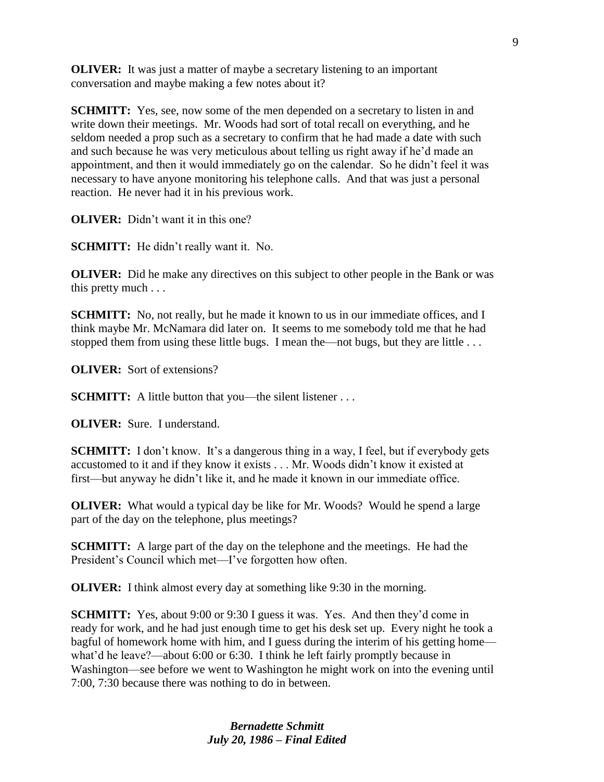**OLIVER:** It was just a matter of maybe a secretary listening to an important conversation and maybe making a few notes about it?

**SCHMITT:** Yes, see, now some of the men depended on a secretary to listen in and write down their meetings. Mr. Woods had sort of total recall on everything, and he seldom needed a prop such as a secretary to confirm that he had made a date with such and such because he was very meticulous about telling us right away if he'd made an appointment, and then it would immediately go on the calendar. So he didn't feel it was necessary to have anyone monitoring his telephone calls. And that was just a personal reaction. He never had it in his previous work.

**OLIVER:** Didn't want it in this one?

**SCHMITT:** He didn't really want it. No.

**OLIVER:** Did he make any directives on this subject to other people in the Bank or was this pretty much . . .

**SCHMITT:** No, not really, but he made it known to us in our immediate offices, and I think maybe Mr. McNamara did later on. It seems to me somebody told me that he had stopped them from using these little bugs. I mean the—not bugs, but they are little . . .

**OLIVER:** Sort of extensions?

**SCHMITT:** A little button that you—the silent listener . . .

**OLIVER:** Sure. I understand.

**SCHMITT:** I don't know. It's a dangerous thing in a way, I feel, but if everybody gets accustomed to it and if they know it exists . . . Mr. Woods didn't know it existed at first—but anyway he didn't like it, and he made it known in our immediate office.

**OLIVER:** What would a typical day be like for Mr. Woods? Would he spend a large part of the day on the telephone, plus meetings?

**SCHMITT:** A large part of the day on the telephone and the meetings. He had the President's Council which met—I've forgotten how often.

**OLIVER:** I think almost every day at something like 9:30 in the morning.

**SCHMITT:** Yes, about 9:00 or 9:30 I guess it was. Yes. And then they'd come in ready for work, and he had just enough time to get his desk set up. Every night he took a bagful of homework home with him, and I guess during the interim of his getting home what'd he leave?—about 6:00 or 6:30. I think he left fairly promptly because in Washington—see before we went to Washington he might work on into the evening until 7:00, 7:30 because there was nothing to do in between.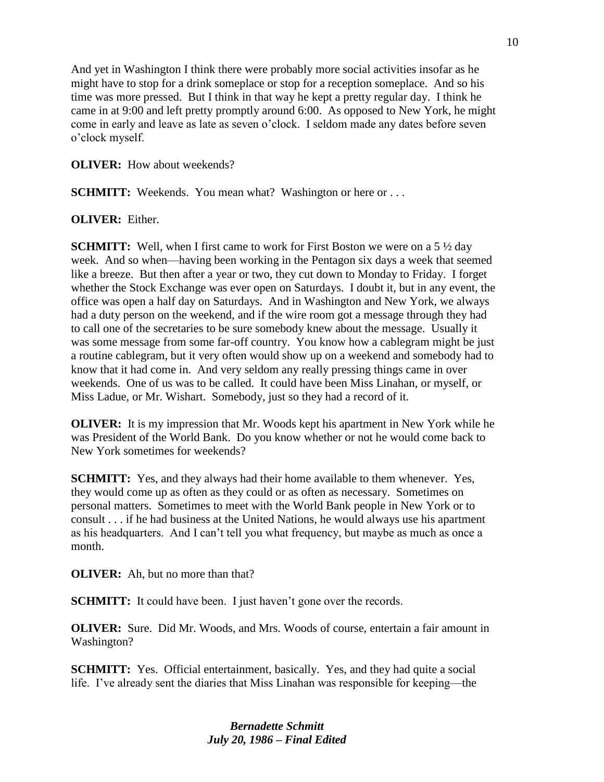And yet in Washington I think there were probably more social activities insofar as he might have to stop for a drink someplace or stop for a reception someplace. And so his time was more pressed. But I think in that way he kept a pretty regular day. I think he came in at 9:00 and left pretty promptly around 6:00. As opposed to New York, he might come in early and leave as late as seven o'clock. I seldom made any dates before seven o'clock myself.

**OLIVER:** How about weekends?

**SCHMITT:** Weekends. You mean what? Washington or here or ...

### **OLIVER:** Either.

**SCHMITT:** Well, when I first came to work for First Boston we were on a 5  $\frac{1}{2}$  day week. And so when—having been working in the Pentagon six days a week that seemed like a breeze. But then after a year or two, they cut down to Monday to Friday. I forget whether the Stock Exchange was ever open on Saturdays. I doubt it, but in any event, the office was open a half day on Saturdays. And in Washington and New York, we always had a duty person on the weekend, and if the wire room got a message through they had to call one of the secretaries to be sure somebody knew about the message. Usually it was some message from some far-off country. You know how a cablegram might be just a routine cablegram, but it very often would show up on a weekend and somebody had to know that it had come in. And very seldom any really pressing things came in over weekends. One of us was to be called. It could have been Miss Linahan, or myself, or Miss Ladue, or Mr. Wishart. Somebody, just so they had a record of it.

**OLIVER:** It is my impression that Mr. Woods kept his apartment in New York while he was President of the World Bank. Do you know whether or not he would come back to New York sometimes for weekends?

**SCHMITT:** Yes, and they always had their home available to them whenever. Yes, they would come up as often as they could or as often as necessary. Sometimes on personal matters. Sometimes to meet with the World Bank people in New York or to consult . . . if he had business at the United Nations, he would always use his apartment as his headquarters. And I can't tell you what frequency, but maybe as much as once a month.

**OLIVER:** Ah, but no more than that?

**SCHMITT:** It could have been. I just haven't gone over the records.

**OLIVER:** Sure. Did Mr. Woods, and Mrs. Woods of course, entertain a fair amount in Washington?

**SCHMITT:** Yes. Official entertainment, basically. Yes, and they had quite a social life. I've already sent the diaries that Miss Linahan was responsible for keeping—the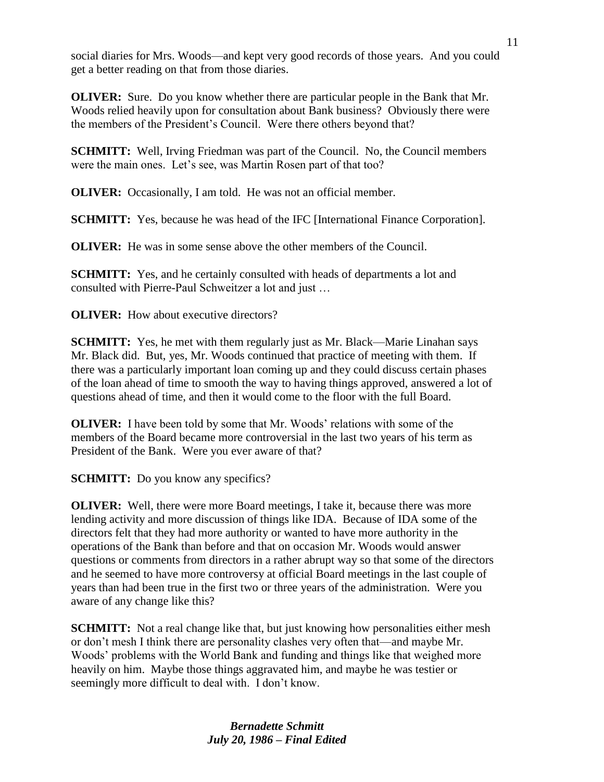social diaries for Mrs. Woods—and kept very good records of those years. And you could get a better reading on that from those diaries.

**OLIVER:** Sure. Do you know whether there are particular people in the Bank that Mr. Woods relied heavily upon for consultation about Bank business? Obviously there were the members of the President's Council. Were there others beyond that?

**SCHMITT:** Well, Irving Friedman was part of the Council. No, the Council members were the main ones. Let's see, was Martin Rosen part of that too?

**OLIVER:** Occasionally, I am told. He was not an official member.

**SCHMITT:** Yes, because he was head of the IFC [International Finance Corporation].

**OLIVER:** He was in some sense above the other members of the Council.

**SCHMITT:** Yes, and he certainly consulted with heads of departments a lot and consulted with Pierre-Paul Schweitzer a lot and just …

**OLIVER:** How about executive directors?

**SCHMITT:** Yes, he met with them regularly just as Mr. Black—Marie Linahan says Mr. Black did. But, yes, Mr. Woods continued that practice of meeting with them. If there was a particularly important loan coming up and they could discuss certain phases of the loan ahead of time to smooth the way to having things approved, answered a lot of questions ahead of time, and then it would come to the floor with the full Board.

**OLIVER:** I have been told by some that Mr. Woods' relations with some of the members of the Board became more controversial in the last two years of his term as President of the Bank. Were you ever aware of that?

**SCHMITT:** Do you know any specifics?

**OLIVER:** Well, there were more Board meetings, I take it, because there was more lending activity and more discussion of things like IDA. Because of IDA some of the directors felt that they had more authority or wanted to have more authority in the operations of the Bank than before and that on occasion Mr. Woods would answer questions or comments from directors in a rather abrupt way so that some of the directors and he seemed to have more controversy at official Board meetings in the last couple of years than had been true in the first two or three years of the administration. Were you aware of any change like this?

**SCHMITT:** Not a real change like that, but just knowing how personalities either mesh or don't mesh I think there are personality clashes very often that—and maybe Mr. Woods' problems with the World Bank and funding and things like that weighed more heavily on him. Maybe those things aggravated him, and maybe he was testier or seemingly more difficult to deal with. I don't know.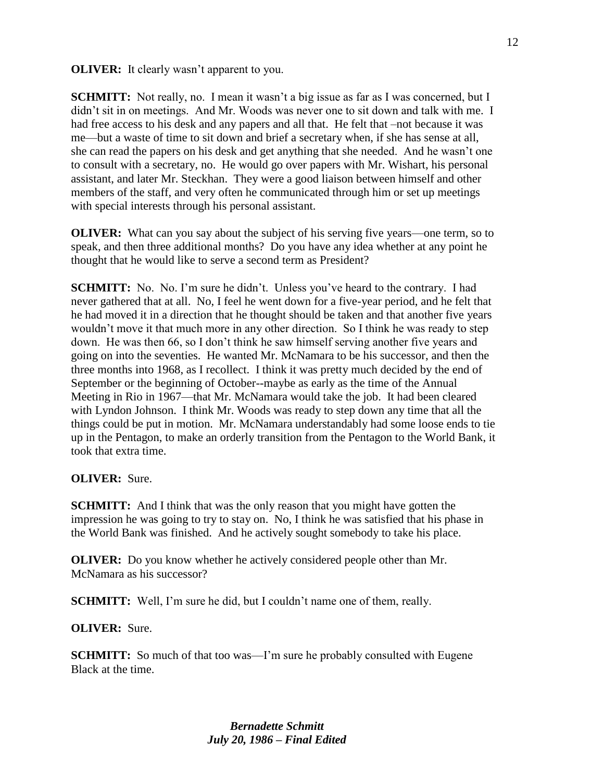**OLIVER:** It clearly wasn't apparent to you.

**SCHMITT:** Not really, no. I mean it wasn't a big issue as far as I was concerned, but I didn't sit in on meetings. And Mr. Woods was never one to sit down and talk with me. I had free access to his desk and any papers and all that. He felt that –not because it was me—but a waste of time to sit down and brief a secretary when, if she has sense at all, she can read the papers on his desk and get anything that she needed. And he wasn't one to consult with a secretary, no. He would go over papers with Mr. Wishart, his personal assistant, and later Mr. Steckhan. They were a good liaison between himself and other members of the staff, and very often he communicated through him or set up meetings with special interests through his personal assistant.

**OLIVER:** What can you say about the subject of his serving five years—one term, so to speak, and then three additional months? Do you have any idea whether at any point he thought that he would like to serve a second term as President?

**SCHMITT:** No. No. I'm sure he didn't. Unless you've heard to the contrary. I had never gathered that at all. No, I feel he went down for a five-year period, and he felt that he had moved it in a direction that he thought should be taken and that another five years wouldn't move it that much more in any other direction. So I think he was ready to step down. He was then 66, so I don't think he saw himself serving another five years and going on into the seventies. He wanted Mr. McNamara to be his successor, and then the three months into 1968, as I recollect. I think it was pretty much decided by the end of September or the beginning of October--maybe as early as the time of the Annual Meeting in Rio in 1967—that Mr. McNamara would take the job. It had been cleared with Lyndon Johnson. I think Mr. Woods was ready to step down any time that all the things could be put in motion. Mr. McNamara understandably had some loose ends to tie up in the Pentagon, to make an orderly transition from the Pentagon to the World Bank, it took that extra time.

#### **OLIVER:** Sure.

**SCHMITT:** And I think that was the only reason that you might have gotten the impression he was going to try to stay on. No, I think he was satisfied that his phase in the World Bank was finished. And he actively sought somebody to take his place.

**OLIVER:** Do you know whether he actively considered people other than Mr. McNamara as his successor?

**SCHMITT:** Well, I'm sure he did, but I couldn't name one of them, really.

#### **OLIVER:** Sure.

**SCHMITT:** So much of that too was—I'm sure he probably consulted with Eugene Black at the time.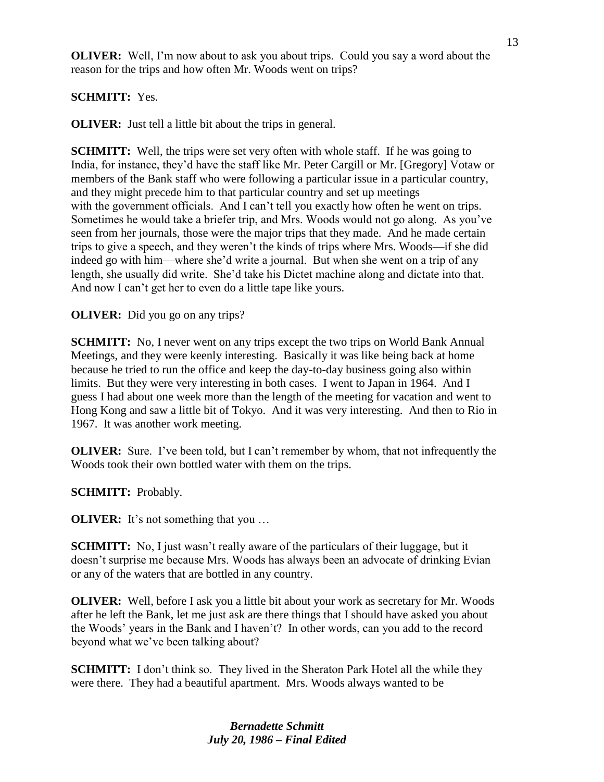**OLIVER:** Well, I'm now about to ask you about trips. Could you say a word about the reason for the trips and how often Mr. Woods went on trips?

# **SCHMITT:** Yes.

**OLIVER:** Just tell a little bit about the trips in general.

**SCHMITT:** Well, the trips were set very often with whole staff. If he was going to India, for instance, they'd have the staff like Mr. Peter Cargill or Mr. [Gregory] Votaw or members of the Bank staff who were following a particular issue in a particular country, and they might precede him to that particular country and set up meetings with the government officials. And I can't tell you exactly how often he went on trips. Sometimes he would take a briefer trip, and Mrs. Woods would not go along. As you've seen from her journals, those were the major trips that they made. And he made certain trips to give a speech, and they weren't the kinds of trips where Mrs. Woods—if she did indeed go with him—where she'd write a journal. But when she went on a trip of any length, she usually did write. She'd take his Dictet machine along and dictate into that. And now I can't get her to even do a little tape like yours.

### **OLIVER:** Did you go on any trips?

**SCHMITT:** No, I never went on any trips except the two trips on World Bank Annual Meetings, and they were keenly interesting. Basically it was like being back at home because he tried to run the office and keep the day-to-day business going also within limits. But they were very interesting in both cases. I went to Japan in 1964. And I guess I had about one week more than the length of the meeting for vacation and went to Hong Kong and saw a little bit of Tokyo. And it was very interesting. And then to Rio in 1967. It was another work meeting.

**OLIVER:** Sure. I've been told, but I can't remember by whom, that not infrequently the Woods took their own bottled water with them on the trips.

**SCHMITT:** Probably.

**OLIVER:** It's not something that you ...

**SCHMITT:** No, I just wasn't really aware of the particulars of their luggage, but it doesn't surprise me because Mrs. Woods has always been an advocate of drinking Evian or any of the waters that are bottled in any country.

**OLIVER:** Well, before I ask you a little bit about your work as secretary for Mr. Woods after he left the Bank, let me just ask are there things that I should have asked you about the Woods' years in the Bank and I haven't? In other words, can you add to the record beyond what we've been talking about?

**SCHMITT:** I don't think so. They lived in the Sheraton Park Hotel all the while they were there. They had a beautiful apartment. Mrs. Woods always wanted to be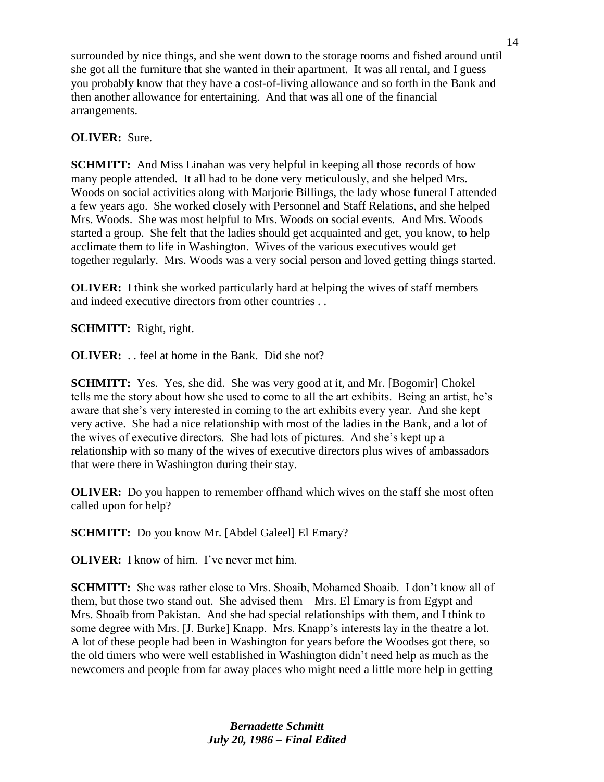surrounded by nice things, and she went down to the storage rooms and fished around until she got all the furniture that she wanted in their apartment. It was all rental, and I guess you probably know that they have a cost-of-living allowance and so forth in the Bank and then another allowance for entertaining. And that was all one of the financial arrangements.

## **OLIVER:** Sure.

**SCHMITT:** And Miss Linahan was very helpful in keeping all those records of how many people attended. It all had to be done very meticulously, and she helped Mrs. Woods on social activities along with Marjorie Billings, the lady whose funeral I attended a few years ago. She worked closely with Personnel and Staff Relations, and she helped Mrs. Woods. She was most helpful to Mrs. Woods on social events. And Mrs. Woods started a group. She felt that the ladies should get acquainted and get, you know, to help acclimate them to life in Washington. Wives of the various executives would get together regularly. Mrs. Woods was a very social person and loved getting things started.

**OLIVER:** I think she worked particularly hard at helping the wives of staff members and indeed executive directors from other countries . .

**SCHMITT:** Right, right.

**OLIVER:** . . feel at home in the Bank. Did she not?

**SCHMITT:** Yes. Yes, she did. She was very good at it, and Mr. [Bogomir] Chokel tells me the story about how she used to come to all the art exhibits. Being an artist, he's aware that she's very interested in coming to the art exhibits every year. And she kept very active. She had a nice relationship with most of the ladies in the Bank, and a lot of the wives of executive directors. She had lots of pictures. And she's kept up a relationship with so many of the wives of executive directors plus wives of ambassadors that were there in Washington during their stay.

**OLIVER:** Do you happen to remember offhand which wives on the staff she most often called upon for help?

**SCHMITT:** Do you know Mr. [Abdel Galeel] El Emary?

**OLIVER:** I know of him. I've never met him.

**SCHMITT:** She was rather close to Mrs. Shoaib, Mohamed Shoaib. I don't know all of them, but those two stand out. She advised them—Mrs. El Emary is from Egypt and Mrs. Shoaib from Pakistan. And she had special relationships with them, and I think to some degree with Mrs. [J. Burke] Knapp. Mrs. Knapp's interests lay in the theatre a lot. A lot of these people had been in Washington for years before the Woodses got there, so the old timers who were well established in Washington didn't need help as much as the newcomers and people from far away places who might need a little more help in getting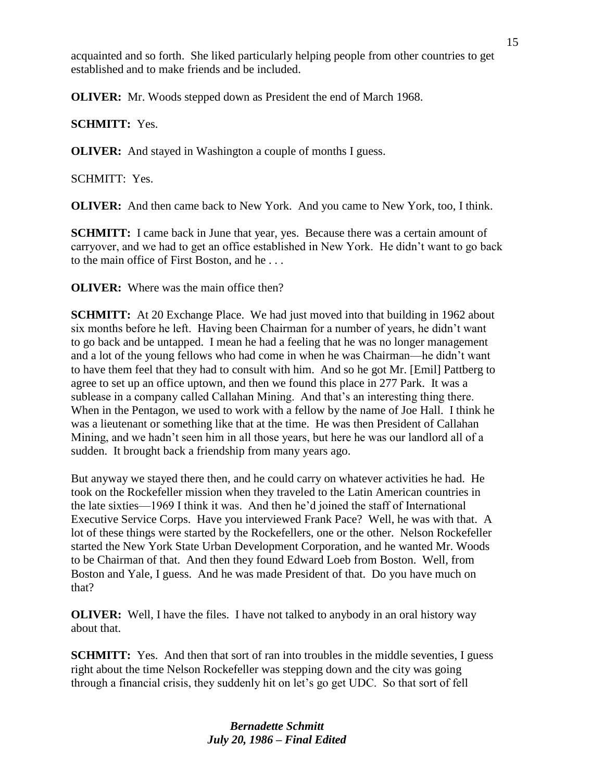acquainted and so forth. She liked particularly helping people from other countries to get established and to make friends and be included.

**OLIVER:** Mr. Woods stepped down as President the end of March 1968.

**SCHMITT:** Yes.

**OLIVER:** And stayed in Washington a couple of months I guess.

SCHMITT: Yes.

**OLIVER:** And then came back to New York. And you came to New York, too, I think.

**SCHMITT:** I came back in June that year, yes. Because there was a certain amount of carryover, and we had to get an office established in New York. He didn't want to go back to the main office of First Boston, and he . . .

**OLIVER:** Where was the main office then?

**SCHMITT:** At 20 Exchange Place. We had just moved into that building in 1962 about six months before he left. Having been Chairman for a number of years, he didn't want to go back and be untapped. I mean he had a feeling that he was no longer management and a lot of the young fellows who had come in when he was Chairman—he didn't want to have them feel that they had to consult with him. And so he got Mr. [Emil] Pattberg to agree to set up an office uptown, and then we found this place in 277 Park. It was a sublease in a company called Callahan Mining. And that's an interesting thing there. When in the Pentagon, we used to work with a fellow by the name of Joe Hall. I think he was a lieutenant or something like that at the time. He was then President of Callahan Mining, and we hadn't seen him in all those years, but here he was our landlord all of a sudden. It brought back a friendship from many years ago.

But anyway we stayed there then, and he could carry on whatever activities he had. He took on the Rockefeller mission when they traveled to the Latin American countries in the late sixties—1969 I think it was. And then he'd joined the staff of International Executive Service Corps. Have you interviewed Frank Pace? Well, he was with that. A lot of these things were started by the Rockefellers, one or the other. Nelson Rockefeller started the New York State Urban Development Corporation, and he wanted Mr. Woods to be Chairman of that. And then they found Edward Loeb from Boston. Well, from Boston and Yale, I guess. And he was made President of that. Do you have much on that?

**OLIVER:** Well, I have the files. I have not talked to anybody in an oral history way about that.

**SCHMITT:** Yes. And then that sort of ran into troubles in the middle seventies, I guess right about the time Nelson Rockefeller was stepping down and the city was going through a financial crisis, they suddenly hit on let's go get UDC. So that sort of fell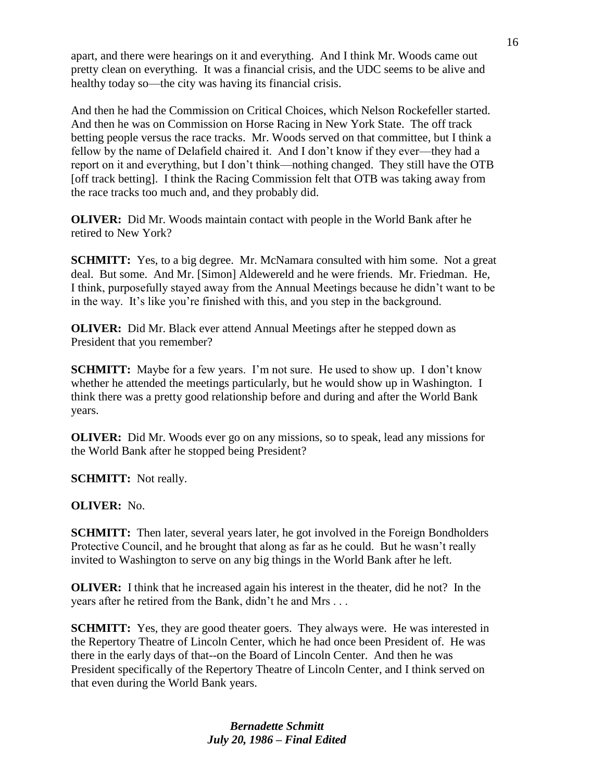apart, and there were hearings on it and everything. And I think Mr. Woods came out pretty clean on everything. It was a financial crisis, and the UDC seems to be alive and healthy today so—the city was having its financial crisis.

And then he had the Commission on Critical Choices, which Nelson Rockefeller started. And then he was on Commission on Horse Racing in New York State. The off track betting people versus the race tracks. Mr. Woods served on that committee, but I think a fellow by the name of Delafield chaired it. And I don't know if they ever—they had a report on it and everything, but I don't think—nothing changed. They still have the OTB [off track betting]. I think the Racing Commission felt that OTB was taking away from the race tracks too much and, and they probably did.

**OLIVER:** Did Mr. Woods maintain contact with people in the World Bank after he retired to New York?

**SCHMITT:** Yes, to a big degree. Mr. McNamara consulted with him some. Not a great deal. But some. And Mr. [Simon] Aldewereld and he were friends. Mr. Friedman. He, I think, purposefully stayed away from the Annual Meetings because he didn't want to be in the way. It's like you're finished with this, and you step in the background.

**OLIVER:** Did Mr. Black ever attend Annual Meetings after he stepped down as President that you remember?

**SCHMITT:** Maybe for a few years. I'm not sure. He used to show up. I don't know whether he attended the meetings particularly, but he would show up in Washington. I think there was a pretty good relationship before and during and after the World Bank years.

**OLIVER:** Did Mr. Woods ever go on any missions, so to speak, lead any missions for the World Bank after he stopped being President?

**SCHMITT:** Not really.

**OLIVER:** No.

**SCHMITT:** Then later, several years later, he got involved in the Foreign Bondholders Protective Council, and he brought that along as far as he could. But he wasn't really invited to Washington to serve on any big things in the World Bank after he left.

**OLIVER:** I think that he increased again his interest in the theater, did he not? In the years after he retired from the Bank, didn't he and Mrs . . .

**SCHMITT:** Yes, they are good theater goers. They always were. He was interested in the Repertory Theatre of Lincoln Center, which he had once been President of. He was there in the early days of that--on the Board of Lincoln Center. And then he was President specifically of the Repertory Theatre of Lincoln Center, and I think served on that even during the World Bank years.